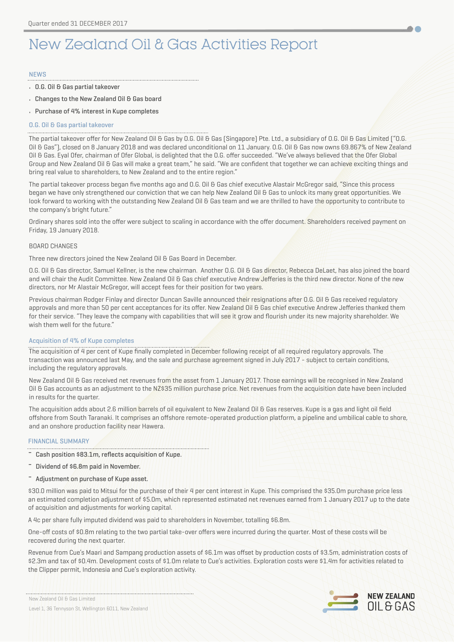# New Zealand Oil & Gas Activities Report

## **NFWS**

- O.G. Oil & Gas partial takeover
- Changes to the New Zealand Oil & Gas board
- Purchase of 4% interest in Kupe completes

# O.G. Oil & Gas partial takeover

The partial takeover offer for New Zealand Oil & Gas by O.G. Oil & Gas (Singapore) Pte. Ltd., a subsidiary of O.G. Oil & Gas Limited ("O.G. Oil & Gas"), closed on 8 January 2018 and was declared unconditional on 11 January. O.G. Oil & Gas now owns 69.867% of New Zealand Oil & Gas. Eyal Ofer, chairman of Ofer Global, is delighted that the O.G. offer succeeded. "We've always believed that the Ofer Global Group and New Zealand Oil & Gas will make a great team," he said. "We are confident that together we can achieve exciting things and bring real value to shareholders, to New Zealand and to the entire region."

The partial takeover process began five months ago and O.G. Oil & Gas chief executive Alastair McGregor said, "Since this process began we have only strengthened our conviction that we can help New Zealand Oil & Gas to unlock its many great opportunities. We look forward to working with the outstanding New Zealand Oil & Gas team and we are thrilled to have the opportunity to contribute to the company's bright future."

Ordinary shares sold into the offer were subject to scaling in accordance with the offer document. Shareholders received payment on Friday, 19 January 2018.

## BOARD CHANGES

Three new directors joined the New Zealand Oil & Gas Board in December.

O.G. Oil & Gas director, Samuel Kellner, is the new chairman. Another O.G. Oil & Gas director, Rebecca DeLaet, has also joined the board and will chair the Audit Committee. New Zealand Oil & Gas chief executive Andrew Jefferies is the third new director. None of the new directors, nor Mr Alastair McGregor, will accept fees for their position for two years.

Previous chairman Rodger Finlay and director Duncan Saville announced their resignations after 0.G. Oil & Gas received regulatory approvals and more than 50 per cent acceptances for its offer. New Zealand Oil & Gas chief executive Andrew Jefferies thanked them for their service. "They leave the company with capabilities that will see it grow and flourish under its new majority shareholder. We wish them well for the future."

## Acquisition of 4% of Kupe completes

The acquisition of 4 per cent of Kupe finally completed in December following receipt of all required regulatory approvals. The transaction was announced last May, and the sale and purchase agreement signed in July 2017 - subject to certain conditions, including the regulatory approvals.

New Zealand Oil & Gas received net revenues from the asset from 1 January 2017. Those earnings will be recognised in New Zealand Oil & Gas accounts as an adjustment to the NZ\$35 million purchase price. Net revenues from the acquisition date have been included in results for the quarter.

The acquisition adds about 2.6 million barrels of oil equivalent to New Zealand Oil & Gas reserves. Kupe is a gas and light oil field offshore from South Taranaki. It comprises an offshore remote-operated production platform, a pipeline and umbilical cable to shore, and an onshore production facility near Hawera.

# FINANCIAL SUMMARY

Cash position \$83.1m, reflects acquisition of Kupe.

- Dividend of \$6.8m paid in November.
- Adjustment on purchase of Kupe asset.

\$30.0 million was paid to Mitsui for the purchase of their 4 per cent interest in Kupe. This comprised the \$35.0m purchase price less an estimated completion adjustment of \$5.0m, which represented estimated net revenues earned from 1 January 2017 up to the date of acquisition and adjustments for working capital.

A 4c per share fully imputed dividend was paid to shareholders in November, totalling \$6.8m.

One-off costs of \$0.8m relating to the two partial take-over offers were incurred during the quarter. Most of these costs will be recovered during the next quarter.

Revenue from Cue's Maari and Sampang production assets of \$6.1m was offset by production costs of \$3.5m, administration costs of \$2.3m and tax of \$0.4m. Development costs of \$1.0m relate to Cue's activities. Exploration costs were \$1.4m for activities related to the Clipper permit, Indonesia and Cue's exploration activity.

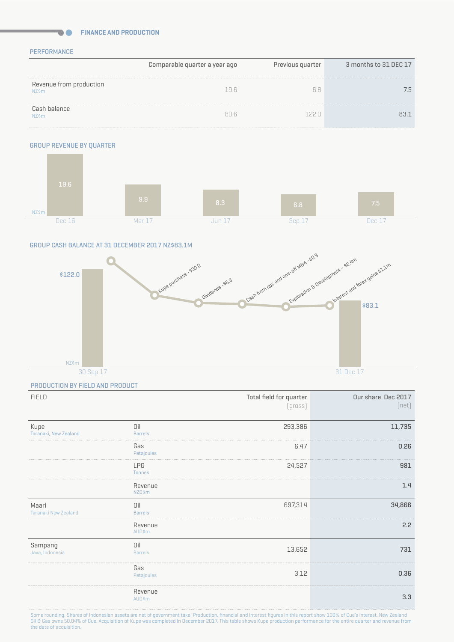## **FINANCE AND PRODUCTION**

## PERFORMANCE

**DO** 

|                                  | Comparable quarter a year ago | Previous quarter | 3 months to 31 DEC 17 |
|----------------------------------|-------------------------------|------------------|-----------------------|
| Revenue from production<br>NZ\$m | 19 R                          | hХ               |                       |
| Cash balance<br><b>NZ\$m</b>     | $R\cap F$                     |                  |                       |

# GROUP REVENUE BY QUARTER



#### GROUP CASH BALANCE AT 31 DECEMBER 2017 NZ\$83.1M



#### PRODUCTION BY FIELD AND PRODUCT

| <b>FIELD</b>                  |                             | Total field for quarter<br>[gross] | Our share Dec 2017<br>[net] |
|-------------------------------|-----------------------------|------------------------------------|-----------------------------|
| Kupe<br>Taranaki, New Zealand | Oil<br><b>Barrels</b>       | 293,386                            | 11,735                      |
|                               | Gas<br>Petajoules           | 6.47                               | 0.26                        |
|                               | <b>LPG</b><br><b>Tonnes</b> | 24,527                             | 981                         |
|                               | Revenue<br><b>NZD\$m</b>    |                                    | 1.4                         |
| Maari<br>Taranaki New Zealand | Oil<br><b>Barrels</b>       | 697,314                            | 34,866                      |
|                               | Revenue<br>AUD\$m           |                                    | 2.2                         |
| Sampang<br>Java, Indonesia    | Oil<br><b>Barrels</b>       | 13,652                             | 731                         |
|                               | Gas<br>Petajoules           | 3.12                               | 0.36                        |
|                               | Revenue<br><b>AUD\$m</b>    |                                    | 3.3                         |

Some rounding. Shares of Indonesian assets are net of government take. Production, financial and interest figures in this report show 100% of Cue's interest. New Zealand Oil & Gas owns 50.04% of Cue. Acquisition of Kupe was completed in December 2017. This table shows Kupe production performance for the entire quarter and revenue from the date of acquisition.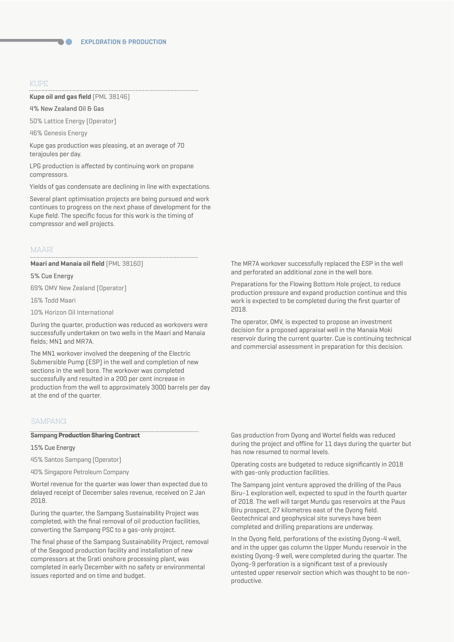#### KUPE

#### **Kupe oil and gas field** (PML 38146)

4% New Zealand Oil & Gas

50% Lattice Energy (Operator)

46% Genesis Energy

Kupe gas production was pleasing, at an average of 70 terajoules per day.

LPG production is affected by continuing work on propane compressors.

Yields of gas condensate are declining in line with expectations.

Several plant optimisation projects are being pursued and work continues to progress on the next phase of development for the Kupe field. The specific focus for this work is the timing of compressor and well projects.

# MAARI

#### **Maari and Manaia oil field** (PML 38160)

#### 5% Cue Energy

69% OMV New Zealand (Operator)

16% Todd Maari

10% Horizon Oil International

During the quarter, production was reduced as workovers were successfully undertaken on two wells in the Maari and Manaia fields; MN1 and MR7A.

The MN1 workover involved the deepening of the Electric Submersible Pump (ESP) in the well and completion of new sections in the well bore. The workover was completed successfully and resulted in a 200 per cent increase in production from the well to approximately 3000 barrels per day at the end of the quarter.

# SAMPANG

#### **Sampang Production Sharing Contract**

# 15% Cue Energy

45% Santos Sampang (Operator)

40% Singapore Petroleum Company

Wortel revenue for the quarter was lower than expected due to delayed receipt of December sales revenue, received on 2 Jan 2018.

During the quarter, the Sampang Sustainability Project was completed, with the final removal of oil production facilities, converting the Sampang PSC to a gas-only project.

The final phase of the Sampang Sustainability Project, removal of the Seagood production facility and installation of new compressors at the Grati onshore processing plant, was completed in early December with no safety or environmental issues reported and on time and budget.

The MR7A workover successfully replaced the ESP in the well and perforated an additional zone in the well bore.

Preparations for the Flowing Bottom Hole project, to reduce production pressure and expand production continue and this work is expected to be completed during the first quarter of 2018.

The operator, OMV, is expected to propose an investment decision for a proposed appraisal well in the Manaia Moki reservoir during the current quarter. Cue is continuing technical and commercial assessment in preparation for this decision.

Gas production from Oyong and Wortel fields was reduced during the project and offline for 11 days during the quarter but has now resumed to normal levels.

Operating costs are budgeted to reduce significantly in 2018 with gas-only production facilities.

The Sampang joint venture approved the drilling of the Paus Biru-1 exploration well, expected to spud in the fourth quarter of 2018. The well will target Mundu gas reservoirs at the Paus Biru prospect, 27 kilometres east of the Oyong field. Geotechnical and geophysical site surveys have been completed and drilling preparations are underway.

In the Oyong field, perforations of the existing Oyong-4 well, and in the upper gas column the Upper Mundu reservoir in the existing Oyong-9 well, were completed during the quarter. The Oyong-9 perforation is a significant test of a previously untested upper reservoir section which was thought to be nonproductive.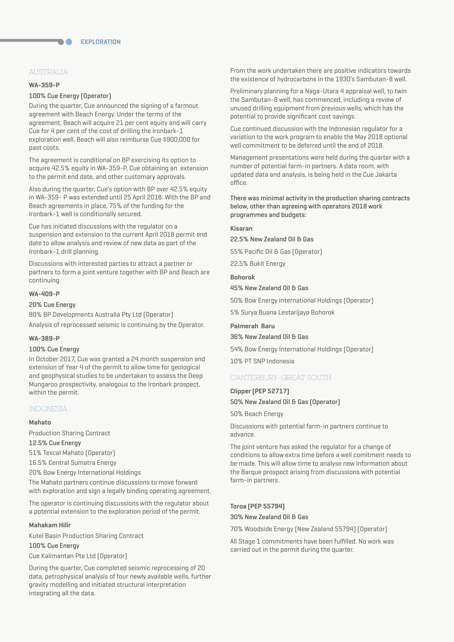# AUSTRALIA

#### **WA-359-P**

## 100% Cue Energy (Operator)

**The Co** 

During the quarter, Cue announced the signing of a farmout agreement with Beach Energy. Under the terms of the agreement, Beach will acquire 21 per cent equity and will carry Cue for 4 per cent of the cost of drilling the Ironbark-1 exploration well. Beach will also reimburse Cue \$900,000 for past costs.

The agreement is conditional on BP exercising its option to acquire 42.5% equity in WA-359-P, Cue obtaining an extension to the permit end date, and other customary approvals.

Also during the quarter, Cue's option with BP over 42.5% equity in WA-359- P was extended until 25 April 2018. With the BP and Beach agreements in place, 75% of the funding for the Ironbark-1 well is conditionally secured.

Cue has initiated discussions with the regulator on a suspension and extension to the current April 2018 permit end date to allow analysis and review of new data as part of the Ironbark-1 drill planning.

Discussions with interested parties to attract a partner or partners to form a joint venture together with BP and Beach are continuing.

## **WA-409-P**

#### 20% Cue Energy

80% BP Developments Australia Pty Ltd (Operator) Analysis of reprocessed seismic is continuing by the Operator.

#### **WA-389-P**

#### 100% Cue Energy

In October 2017, Cue was granted a 24 month suspension and extension of Year 4 of the permit to allow time for geological and geophysical studies to be undertaken to assess the Deep Mungaroo prospectivity, analogous to the Ironbark prospect, within the permit.

# INDONESIA

#### **Mahato**

Production Sharing Contract

12.5% Cue Energy

51% Texcal Mahato (Operator)

16.5% Central Sumatra Energy

20% Bow Energy International Holdings

The Mahato partners continue discussions to move forward with exploration and sign a legally binding operating agreement.

The operator is continuing discussions with the regulator about a potential extension to the exploration period of the permit.

#### **Mahakam Hilir**

Kutei Basin Production Sharing Contract

#### 100% Cue Energy

Cue Kalimantan Pte Ltd (Operator)

During the quarter, Cue completed seismic reprocessing of 2D data, petrophysical analysis of four newly available wells, further gravity modelling and initiated structural interpretation integrating all the data.

From the work undertaken there are positive indicators towards the existence of hydrocarbons in the 1930's Sambutan-8 well.

Preliminary planning for a Naga-Utara 4 appraisal well, to twin the Sambutan-8 well, has commenced, including a review of unused drilling equipment from previous wells, which has the potential to provide significant cost savings.

Cue continued discussion with the Indonesian regulator for a variation to the work program to enable the May 2018 optional well commitment to be deferred until the end of 2018.

Management presentations were held during the quarter with a number of potential farm-in partners. A data room, with updated data and analysis, is being held in the Cue Jakarta office.

There was minimal activity in the production sharing contracts below, other than agreeing with operators 2018 work programmes and budgets:

#### **Kisaran**

22.5% New Zealand Oil & Gas

55% Pacific Oil & Gas (Operator)

22.5% Bukit Energy

#### **Bohorok**

45% New Zealand Oil & Gas

50% Bow Energy International Holdings (Operator)

5% Surya Buana Lestarijaya Bohorok

#### **Palmerah Baru**

# 36% New Zealand Oil & Gas

54% Bow Energy International Holdings (Operator)

10% PT SNP Indonesia

## CANTERBURY-GREAT SOUTH

**Clipper (PEP 52717)**  50% New Zealand Oil & Gas (Operator)

# 50% Beach Energy

Discussions with potential farm-in partners continue to advance.

The joint venture has asked the regulator for a change of conditions to allow extra time before a well comitment needs to be made. This will allow time to analyse new information about the Barque prospect arising from discussions with potential farm-in partners.

# **Toroa (PEP 55794)**  30% New Zealand Oil & Gas

70% Woodside Energy (New Zealand 55794) (Operator)

All Stage 1 commitments have been fulfilled. No work was carried out in the permit during the quarter.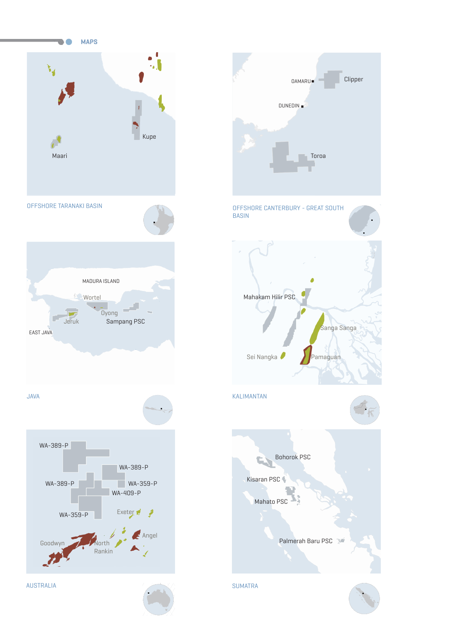